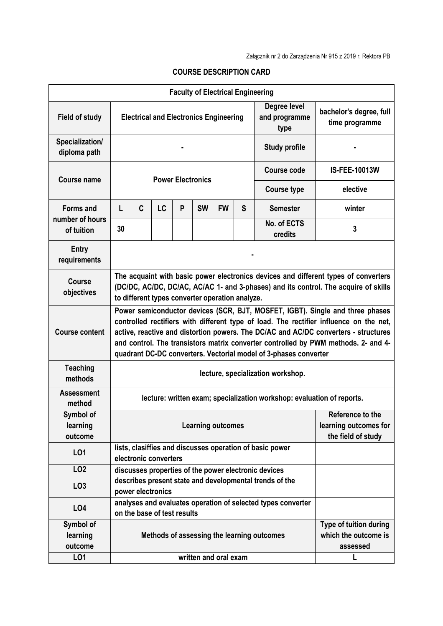| <b>Faculty of Electrical Engineering</b> |                                                                                                                                                                                                                                                                                                                                                                                                                          |   |                             |   |           |                       |   |                                                              |                      |
|------------------------------------------|--------------------------------------------------------------------------------------------------------------------------------------------------------------------------------------------------------------------------------------------------------------------------------------------------------------------------------------------------------------------------------------------------------------------------|---|-----------------------------|---|-----------|-----------------------|---|--------------------------------------------------------------|----------------------|
| <b>Field of study</b>                    | Degree level<br><b>Electrical and Electronics Engineering</b><br>and programme<br>type                                                                                                                                                                                                                                                                                                                                   |   |                             |   |           |                       |   | bachelor's degree, full<br>time programme                    |                      |
| Specialization/<br>diploma path          | <b>Study profile</b>                                                                                                                                                                                                                                                                                                                                                                                                     |   |                             |   |           |                       |   |                                                              |                      |
| <b>Course name</b>                       | <b>Power Electronics</b>                                                                                                                                                                                                                                                                                                                                                                                                 |   |                             |   |           |                       |   | <b>Course code</b>                                           | <b>IS-FEE-10013W</b> |
|                                          |                                                                                                                                                                                                                                                                                                                                                                                                                          |   |                             |   |           |                       |   | <b>Course type</b>                                           | elective             |
| <b>Forms and</b>                         | L                                                                                                                                                                                                                                                                                                                                                                                                                        | C | LC                          | P | <b>SW</b> | <b>FW</b>             | S | <b>Semester</b>                                              | winter               |
| number of hours<br>of tuition            | 30                                                                                                                                                                                                                                                                                                                                                                                                                       |   |                             |   |           |                       |   | No. of ECTS<br>credits                                       | 3                    |
| Entry<br>requirements                    |                                                                                                                                                                                                                                                                                                                                                                                                                          |   |                             |   |           |                       |   |                                                              |                      |
| <b>Course</b><br>objectives              | The acquaint with basic power electronics devices and different types of converters<br>(DC/DC, AC/DC, DC/AC, AC/AC 1- and 3-phases) and its control. The acquire of skills<br>to different types converter operation analyze.                                                                                                                                                                                            |   |                             |   |           |                       |   |                                                              |                      |
| <b>Course content</b>                    | Power semiconductor devices (SCR, BJT, MOSFET, IGBT). Single and three phases<br>controlled rectifiers with different type of load. The rectifier influence on the net,<br>active, reactive and distortion powers. The DC/AC and AC/DC converters - structures<br>and control. The transistors matrix converter controlled by PWM methods. 2- and 4-<br>quadrant DC-DC converters. Vectorial model of 3-phases converter |   |                             |   |           |                       |   |                                                              |                      |
| <b>Teaching</b><br>methods               | lecture, specialization workshop.                                                                                                                                                                                                                                                                                                                                                                                        |   |                             |   |           |                       |   |                                                              |                      |
| <b>Assessment</b><br>method              | lecture: written exam; specialization workshop: evaluation of reports.                                                                                                                                                                                                                                                                                                                                                   |   |                             |   |           |                       |   |                                                              |                      |
| Symbol of<br>learning<br>outcome         | Reference to the<br><b>Learning outcomes</b><br>learning outcomes for<br>the field of study                                                                                                                                                                                                                                                                                                                              |   |                             |   |           |                       |   |                                                              |                      |
| L <sub>01</sub>                          | lists, clasiffies and discusses operation of basic power<br>electronic converters                                                                                                                                                                                                                                                                                                                                        |   |                             |   |           |                       |   |                                                              |                      |
| LO <sub>2</sub>                          |                                                                                                                                                                                                                                                                                                                                                                                                                          |   |                             |   |           |                       |   | discusses properties of the power electronic devices         |                      |
| LO <sub>3</sub>                          |                                                                                                                                                                                                                                                                                                                                                                                                                          |   | power electronics           |   |           |                       |   | describes present state and developmental trends of the      |                      |
| L04                                      |                                                                                                                                                                                                                                                                                                                                                                                                                          |   | on the base of test results |   |           |                       |   | analyses and evaluates operation of selected types converter |                      |
| Symbol of<br>learning<br>outcome         | Type of tuition during<br>which the outcome is<br>Methods of assessing the learning outcomes<br>assessed                                                                                                                                                                                                                                                                                                                 |   |                             |   |           |                       |   |                                                              |                      |
| LO1                                      |                                                                                                                                                                                                                                                                                                                                                                                                                          |   |                             |   |           | written and oral exam |   |                                                              |                      |

## **COURSE DESCRIPTION CARD**